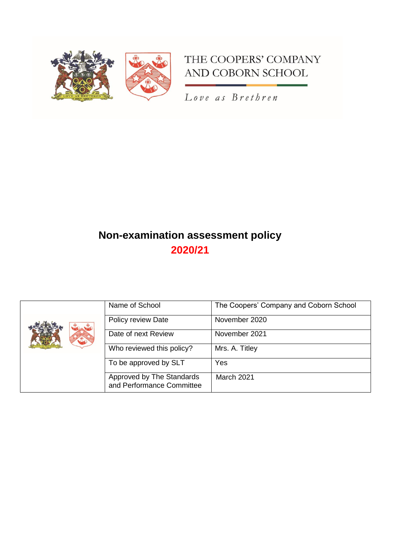

# THE COOPERS' COMPANY AND COBORN SCHOOL

Love as Brethren

# **Non-examination assessment policy 2020/21**

|  | Name of School                                         | The Coopers' Company and Coborn School |
|--|--------------------------------------------------------|----------------------------------------|
|  | Policy review Date                                     | November 2020                          |
|  | Date of next Review                                    | November 2021                          |
|  | Who reviewed this policy?                              | Mrs. A. Titley                         |
|  | To be approved by SLT                                  | Yes                                    |
|  | Approved by The Standards<br>and Performance Committee | March 2021                             |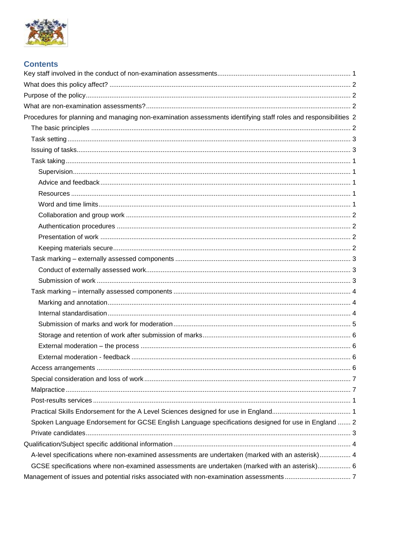

| <b>Contents</b>                                                                                                 |  |
|-----------------------------------------------------------------------------------------------------------------|--|
|                                                                                                                 |  |
|                                                                                                                 |  |
|                                                                                                                 |  |
|                                                                                                                 |  |
| Procedures for planning and managing non-examination assessments identifying staff roles and responsibilities 2 |  |
|                                                                                                                 |  |
|                                                                                                                 |  |
|                                                                                                                 |  |
|                                                                                                                 |  |
|                                                                                                                 |  |
|                                                                                                                 |  |
|                                                                                                                 |  |
|                                                                                                                 |  |
|                                                                                                                 |  |
|                                                                                                                 |  |
|                                                                                                                 |  |
|                                                                                                                 |  |
|                                                                                                                 |  |
|                                                                                                                 |  |
|                                                                                                                 |  |
|                                                                                                                 |  |
|                                                                                                                 |  |
|                                                                                                                 |  |
|                                                                                                                 |  |
|                                                                                                                 |  |
|                                                                                                                 |  |
|                                                                                                                 |  |
|                                                                                                                 |  |
|                                                                                                                 |  |
|                                                                                                                 |  |
|                                                                                                                 |  |
|                                                                                                                 |  |
| Spoken Language Endorsement for GCSE English Language specifications designed for use in England  2             |  |
|                                                                                                                 |  |
|                                                                                                                 |  |
| A-level specifications where non-examined assessments are undertaken (marked with an asterisk) 4                |  |
| GCSE specifications where non-examined assessments are undertaken (marked with an asterisk) 6                   |  |
|                                                                                                                 |  |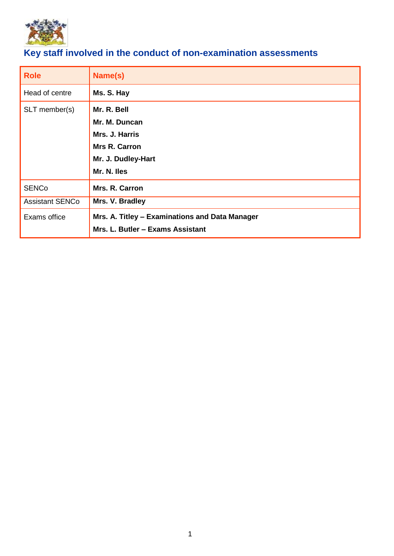

# <span id="page-2-0"></span>**Key staff involved in the conduct of non-examination assessments**

| <b>Role</b>            | Name(s)                                                                                                     |
|------------------------|-------------------------------------------------------------------------------------------------------------|
| Head of centre         | Ms. S. Hay                                                                                                  |
| SLT member(s)          | Mr. R. Bell<br>Mr. M. Duncan<br>Mrs. J. Harris<br><b>Mrs R. Carron</b><br>Mr. J. Dudley-Hart<br>Mr. N. Iles |
| <b>SENCo</b>           | Mrs. R. Carron                                                                                              |
| <b>Assistant SENCo</b> | Mrs. V. Bradley                                                                                             |
| Exams office           | Mrs. A. Titley - Examinations and Data Manager<br>Mrs. L. Butler - Exams Assistant                          |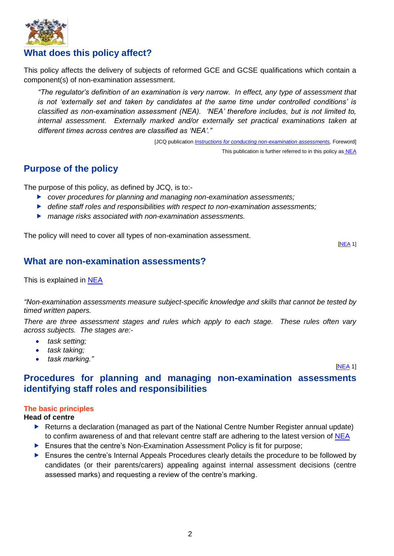

## <span id="page-3-0"></span>**What does this policy affect?**

This policy affects the delivery of subjects of reformed GCE and GCSE qualifications which contain a component(s) of non-examination assessment.

*"The regulator's definition of an examination is very narrow. In effect, any type of assessment that is not 'externally set and taken by candidates at the same time under controlled conditions' is classified as non-examination assessment (NEA). 'NEA' therefore includes, but is not limited to, internal assessment. Externally marked and/or externally set practical examinations taken at different times across centres are classified as 'NEA'."*

> [JCQ publication *Instructions for conducting non-examination assessments*, Foreword] This publication is further referred to in this policy as [NEA](http://www.jcq.org.uk/exams-office/non-examination-assessments)

## <span id="page-3-1"></span>**Purpose of the policy**

The purpose of this policy, as defined by JCQ, is to:-

- *cover procedures for planning and managing non-examination assessments;*
- *define staff roles and responsibilities with respect to non-examination assessments;*
- *manage risks associated with non-examination assessments.*

The policy will need to cover all types of non-examination assessment.

[\[NEA](http://www.jcq.org.uk/exams-office/non-examination-assessments) 1]

## <span id="page-3-2"></span>**What are non-examination assessments?**

This is explained in [NEA](http://www.jcq.org.uk/exams-office/non-examination-assessments)

*"Non-examination assessments measure subject-specific knowledge and skills that cannot be tested by timed written papers.* 

*There are three assessment stages and rules which apply to each stage. These rules often vary across subjects. The stages are:-*

- *task setting;*
- *task taking;*
- *task marking."*

## <span id="page-3-3"></span>*INEA* 1 **Procedures for planning and managing non-examination assessments identifying staff roles and responsibilities**

## <span id="page-3-4"></span>**The basic principles**

**Head of centre**

- ▶ Returns a declaration (managed as part of the National Centre Number Register annual update) to confirm awareness of and that relevant centre staff are adhering to the latest version of [NEA](http://www.jcq.org.uk/exams-office/non-examination-assessments)
- **Ensures that the centre's Non-Examination Assessment Policy is fit for purpose;**
- **Ensures the centre's Internal Appeals Procedures clearly details the procedure to be followed by** candidates (or their parents/carers) appealing against internal assessment decisions (centre assessed marks) and requesting a review of the centre's marking.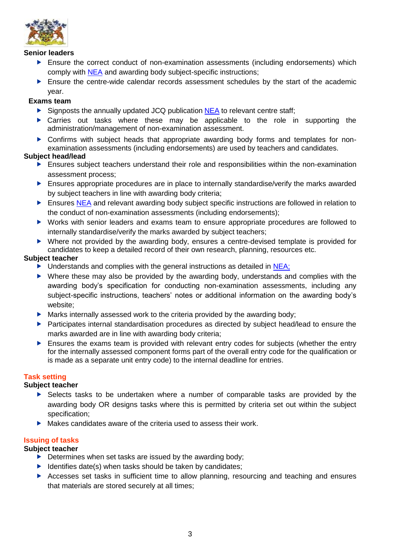

## **Senior leaders**

- **Ensure the correct conduct of non-examination assessments (including endorsements) which** comply with [NEA](http://www.jcq.org.uk/exams-office/non-examination-assessments) and awarding body subject-specific instructions;
- Ensure the centre-wide calendar records assessment schedules by the start of the academic year.

## **Exams team**

- $\triangleright$  Signposts the annually updated JCQ publication [NEA](http://www.jcq.org.uk/exams-office/non-examination-assessments) to relevant centre staff;
- $\triangleright$  Carries out tasks where these may be applicable to the role in supporting the administration/management of non-examination assessment.
- Confirms with subject heads that appropriate awarding body forms and templates for nonexamination assessments (including endorsements) are used by teachers and candidates.

## **Subject head/lead**

- Ensures subject teachers understand their role and responsibilities within the non-examination assessment process;
- **Ensures appropriate procedures are in place to internally standardise/verify the marks awarded** by subject teachers in line with awarding body criteria;
- Ensures [NEA](http://www.jcq.org.uk/exams-office/non-examination-assessments) and relevant awarding body subject specific instructions are followed in relation to the conduct of non-examination assessments (including endorsements);
- Works with senior leaders and exams team to ensure appropriate procedures are followed to internally standardise/verify the marks awarded by subject teachers;
- Where not provided by the awarding body, ensures a centre-devised template is provided for candidates to keep a detailed record of their own research, planning, resources etc.

## **Subject teacher**

- $\triangleright$  Understands and complies with the general instructions as detailed in [NEA;](http://www.jcq.org.uk/exams-office/non-examination-assessments)
- Where these may also be provided by the awarding body, understands and complies with the awarding body's specification for conducting non-examination assessments, including any subject-specific instructions, teachers' notes or additional information on the awarding body's website;
- $\blacktriangleright$  Marks internally assessed work to the criteria provided by the awarding body;
- Participates internal standardisation procedures as directed by subject head/lead to ensure the marks awarded are in line with awarding body criteria;
- Ensures the exams team is provided with relevant entry codes for subjects (whether the entry for the internally assessed component forms part of the overall entry code for the qualification or is made as a separate unit entry code) to the internal deadline for entries.

## <span id="page-4-0"></span>**Task setting**

## **Subject teacher**

- Selects tasks to be undertaken where a number of comparable tasks are provided by the awarding body OR designs tasks where this is permitted by criteria set out within the subject specification;
- $\triangleright$  Makes candidates aware of the criteria used to assess their work.

## <span id="page-4-1"></span>**Issuing of tasks**

- $\triangleright$  Determines when set tasks are issued by the awarding body;
- $\blacktriangleright$  Identifies date(s) when tasks should be taken by candidates;
- <span id="page-4-2"></span> Accesses set tasks in sufficient time to allow planning, resourcing and teaching and ensures that materials are stored securely at all times;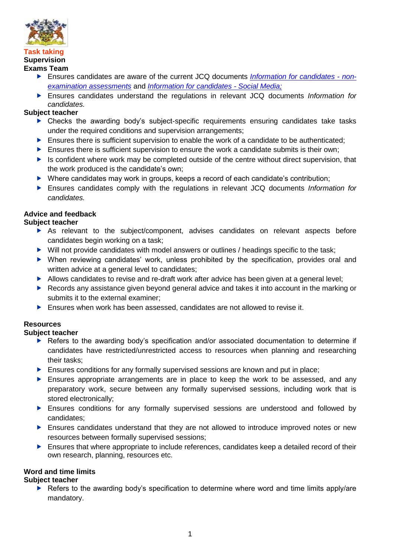

#### <span id="page-5-0"></span>**Task taking Supervision Exams Team**

- Ensures candidates are aware of the current JCQ documents *[Information for candidates -](http://www.jcq.org.uk/exams-office/information-for-candidates-documents) non[examination assessments](http://www.jcq.org.uk/exams-office/information-for-candidates-documents)* and *[Information for candidates -](http://www.jcq.org.uk/exams-office/information-for-candidates-documents) Social Media;*
- Ensures candidates understand the regulations in relevant JCQ documents *Information for candidates.*

## **Subject teacher**

- Checks the awarding body's subject-specific requirements ensuring candidates take tasks under the required conditions and supervision arrangements;
- Ensures there is sufficient supervision to enable the work of a candidate to be authenticated;
- $\blacktriangleright$  Ensures there is sufficient supervision to ensure the work a candidate submits is their own;
- $\blacktriangleright$  Is confident where work may be completed outside of the centre without direct supervision, that the work produced is the candidate's own;
- ▶ Where candidates may work in groups, keeps a record of each candidate's contribution;
- Ensures candidates comply with the regulations in relevant JCQ documents *Information for candidates.*

## <span id="page-5-1"></span>**Advice and feedback**

## **Subject teacher**

- As relevant to the subject/component, advises candidates on relevant aspects before candidates begin working on a task;
- ▶ Will not provide candidates with model answers or outlines / headings specific to the task;
- When reviewing candidates' work, unless prohibited by the specification, provides oral and written advice at a general level to candidates;
- Allows candidates to revise and re-draft work after advice has been given at a general level:
- Records any assistance given beyond general advice and takes it into account in the marking or submits it to the external examiner;
- Ensures when work has been assessed, candidates are not allowed to revise it.

## <span id="page-5-2"></span>**Resources**

## **Subject teacher**

- ▶ Refers to the awarding body's specification and/or associated documentation to determine if candidates have restricted/unrestricted access to resources when planning and researching their tasks;
- **Ensures conditions for any formally supervised sessions are known and put in place;**
- Ensures appropriate arrangements are in place to keep the work to be assessed, and any preparatory work, secure between any formally supervised sessions, including work that is stored electronically;
- Ensures conditions for any formally supervised sessions are understood and followed by candidates;
- Ensures candidates understand that they are not allowed to introduce improved notes or new resources between formally supervised sessions;
- **Ensures that where appropriate to include references, candidates keep a detailed record of their** own research, planning, resources etc.

## <span id="page-5-3"></span>**Word and time limits**

## **Subject teacher**

Refers to the awarding body's specification to determine where word and time limits apply/are mandatory.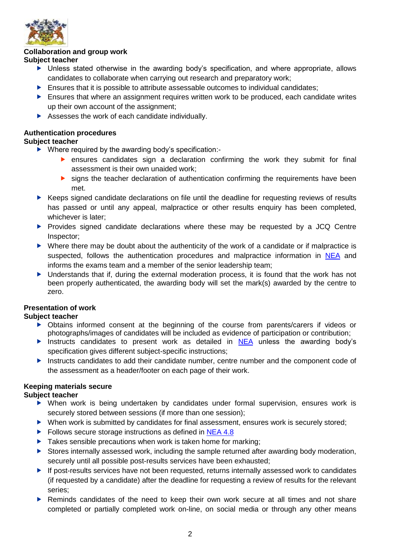

## <span id="page-6-0"></span>**Collaboration and group work**

## **Subject teacher**

- Unless stated otherwise in the awarding body's specification, and where appropriate, allows candidates to collaborate when carrying out research and preparatory work;
- $\blacktriangleright$  Ensures that it is possible to attribute assessable outcomes to individual candidates;
- Ensures that where an assignment requires written work to be produced, each candidate writes up their own account of the assignment;
- Assesses the work of each candidate individually.

## <span id="page-6-1"></span>**Authentication procedures**

## **Subject teacher**

- ▶ Where required by the awarding body's specification:
	- ensures candidates sign a declaration confirming the work they submit for final assessment is their own unaided work;
	- signs the teacher declaration of authentication confirming the requirements have been met.
- ▶ Keeps signed candidate declarations on file until the deadline for requesting reviews of results has passed or until any appeal, malpractice or other results enquiry has been completed, whichever is later;
- **Provides signed candidate declarations where these may be requested by a JCQ Centre** Inspector;
- Where there may be doubt about the authenticity of the work of a candidate or if malpractice is suspected, follows the authentication procedures and malpractice information in [NEA](http://www.jcq.org.uk/exams-office/non-examination-assessments) and informs the exams team and a member of the senior leadership team;
- Understands that if, during the external moderation process, it is found that the work has not been properly authenticated, the awarding body will set the mark(s) awarded by the centre to zero.

## <span id="page-6-2"></span>**Presentation of work**

## **Subject teacher**

- Obtains informed consent at the beginning of the course from parents/carers if videos or photographs/images of candidates will be included as evidence of participation or contribution;
- Instructs candidates to present work as detailed in  $NEA$  unless the awarding body's specification gives different subject-specific instructions;
- Instructs candidates to add their candidate number, centre number and the component code of the assessment as a header/footer on each page of their work.

## <span id="page-6-3"></span>**Keeping materials secure**

- When work is being undertaken by candidates under formal supervision, ensures work is securely stored between sessions (if more than one session);
- When work is submitted by candidates for final assessment, ensures work is securely stored;
- Follows secure storage instructions as defined in [NEA](http://www.jcq.org.uk/exams-office/non-examination-assessments) 4.8
- $\blacktriangleright$  Takes sensible precautions when work is taken home for marking;
- Stores internally assessed work, including the sample returned after awarding body moderation, securely until all possible post-results services have been exhausted;
- ▶ If post-results services have not been requested, returns internally assessed work to candidates (if requested by a candidate) after the deadline for requesting a review of results for the relevant series;
- ▶ Reminds candidates of the need to keep their own work secure at all times and not share completed or partially completed work on-line, on social media or through any other means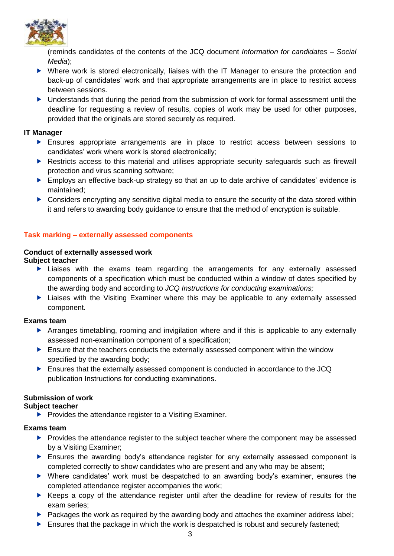

(reminds candidates of the contents of the JCQ document *Information for candidates – Social Media*);

- Where work is stored electronically, liaises with the IT Manager to ensure the protection and back-up of candidates' work and that appropriate arrangements are in place to restrict access between sessions.
- ▶ Understands that during the period from the submission of work for formal assessment until the deadline for requesting a review of results, copies of work may be used for other purposes, provided that the originals are stored securely as required.

## **IT Manager**

- Ensures appropriate arrangements are in place to restrict access between sessions to candidates' work where work is stored electronically;
- **Restricts access to this material and utilises appropriate security safeguards such as firewall** protection and virus scanning software;
- ▶ Employs an effective back-up strategy so that an up to date archive of candidates' evidence is maintained;
- ▶ Considers encrypting any sensitive digital media to ensure the security of the data stored within it and refers to awarding body guidance to ensure that the method of encryption is suitable.

## <span id="page-7-0"></span>**Task marking – externally assessed components**

# <span id="page-7-1"></span>**Conduct of externally assessed work**

## **Subject teacher**

- Liaises with the exams team regarding the arrangements for any externally assessed components of a specification which must be conducted within a window of dates specified by the awarding body and according to *JCQ Instructions for conducting examinations;*
- Liaises with the Visiting Examiner where this may be applicable to any externally assessed component.

## **Exams team**

- Arranges timetabling, rooming and invigilation where and if this is applicable to any externally assessed non-examination component of a specification;
- Ensure that the teachers conducts the externally assessed component within the window specified by the awarding body;
- Ensures that the externally assessed component is conducted in accordance to the JCQ publication Instructions for conducting examinations.

## <span id="page-7-2"></span>**Submission of work**

## **Subject teacher**

 $\blacktriangleright$  Provides the attendance register to a Visiting Examiner.

## **Exams team**

- $\blacktriangleright$  Provides the attendance register to the subject teacher where the component may be assessed by a Visiting Examiner;
- Ensures the awarding body's attendance register for any externally assessed component is completed correctly to show candidates who are present and any who may be absent;
- Where candidates' work must be despatched to an awarding body's examiner, ensures the completed attendance register accompanies the work;
- $\blacktriangleright$  Keeps a copy of the attendance register until after the deadline for review of results for the exam series;
- $\triangleright$  Packages the work as required by the awarding body and attaches the examiner address label;
- Ensures that the package in which the work is despatched is robust and securely fastened;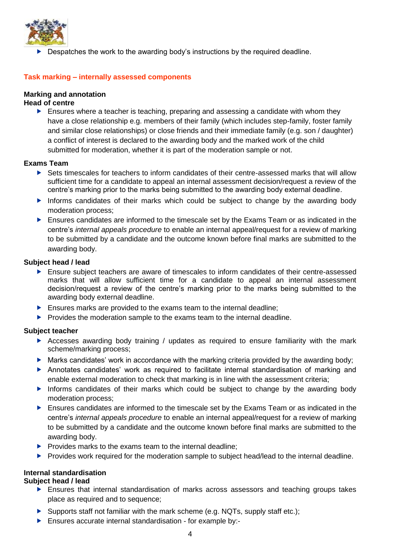

Despatches the work to the awarding body's instructions by the required deadline.

## <span id="page-8-0"></span>**Task marking – internally assessed components**

## <span id="page-8-1"></span>**Marking and annotation**

## **Head of centre**

Ensures where a teacher is teaching, preparing and assessing a candidate with whom they have a close relationship e.g. members of their family (which includes step-family, foster family and similar close relationships) or close friends and their immediate family (e.g. son / daughter) a conflict of interest is declared to the awarding body and the marked work of the child submitted for moderation, whether it is part of the moderation sample or not.

## **Exams Team**

- Sets timescales for teachers to inform candidates of their centre-assessed marks that will allow sufficient time for a candidate to appeal an internal assessment decision/request a review of the centre's marking prior to the marks being submitted to the awarding body external deadline.
- Informs candidates of their marks which could be subject to change by the awarding body moderation process;
- Ensures candidates are informed to the timescale set by the Exams Team or as indicated in the centre's *internal appeals procedure* to enable an internal appeal/request for a review of marking to be submitted by a candidate and the outcome known before final marks are submitted to the awarding body.

## **Subject head / lead**

- $\blacktriangleright$  Ensure subject teachers are aware of timescales to inform candidates of their centre-assessed marks that will allow sufficient time for a candidate to appeal an internal assessment decision/request a review of the centre's marking prior to the marks being submitted to the awarding body external deadline.
- **Ensures marks are provided to the exams team to the internal deadline;**
- $\blacktriangleright$  Provides the moderation sample to the exams team to the internal deadline.

## **Subject teacher**

- Accesses awarding body training / updates as required to ensure familiarity with the mark scheme/marking process;
- Marks candidates' work in accordance with the marking criteria provided by the awarding body;
- Annotates candidates' work as required to facilitate internal standardisation of marking and enable external moderation to check that marking is in line with the assessment criteria;
- Informs candidates of their marks which could be subject to change by the awarding body moderation process;
- **Ensures candidates are informed to the timescale set by the Exams Team or as indicated in the** centre's *internal appeals procedure* to enable an internal appeal/request for a review of marking to be submitted by a candidate and the outcome known before final marks are submitted to the awarding body.
- $\triangleright$  Provides marks to the exams team to the internal deadline:
- **Provides work required for the moderation sample to subject head/lead to the internal deadline.**

## <span id="page-8-2"></span>**Internal standardisation**

## **Subject head / lead**

- Ensures that internal standardisation of marks across assessors and teaching groups takes place as required and to sequence;
- Supports staff not familiar with the mark scheme (e.g. NQTs, supply staff etc.);
- Ensures accurate internal standardisation for example by:-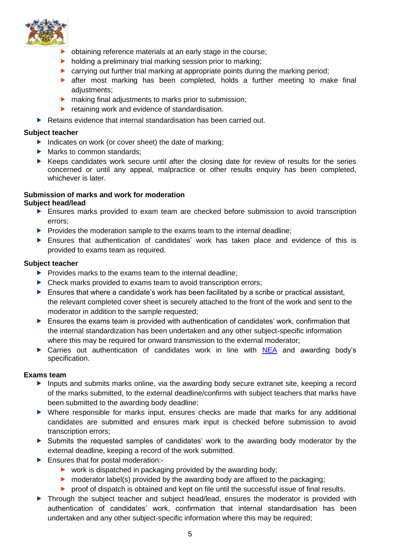

- **b** obtaining reference materials at an early stage in the course;
- $\blacktriangleright$  holding a preliminary trial marking session prior to marking;
- carrying out further trial marking at appropriate points during the marking period;
- **E** after most marking has been completed, holds a further meeting to make final adjustments;
- **h** making final adjustments to marks prior to submission;
- retaining work and evidence of standardisation.
- $\blacktriangleright$  Retains evidence that internal standardisation has been carried out.

## **Subject teacher**

- Indicates on work (or cover sheet) the date of marking:
- Marks to common standards:
- $\blacktriangleright$  Keeps candidates work secure until after the closing date for review of results for the series concerned or until any appeal, malpractice or other results enquiry has been completed, whichever is later.

#### <span id="page-9-0"></span>**Submission of marks and work for moderation Subject head/lead**

- Ensures marks provided to exam team are checked before submission to avoid transcription errors;
- $\blacktriangleright$  Provides the moderation sample to the exams team to the internal deadline:
- Ensures that authentication of candidates' work has taken place and evidence of this is provided to exams team as required.

## **Subject teacher**

- $\blacktriangleright$  Provides marks to the exams team to the internal deadline:
- ▶ Check marks provided to exams team to avoid transcription errors;
- Ensures that where a candidate's work has been facilitated by a scribe or practical assistant, the relevant completed cover sheet is securely attached to the front of the work and sent to the moderator in addition to the sample requested;
- Ensures the exams team is provided with authentication of candidates' work, confirmation that the internal standardization has been undertaken and any other subject-specific information where this may be required for onward transmission to the external moderator;
- ▶ Carries out authentication of candidates work in line with [NEA](http://www.jcq.org.uk/exams-office/non-examination-assessments) and awarding body's specification.

## **Exams team**

- **Inputs and submits marks online, via the awarding body secure extranet site, keeping a record** of the marks submitted, to the external deadline/confirms with subject teachers that marks have been submitted to the awarding body deadline;
- Where responsible for marks input, ensures checks are made that marks for any additional candidates are submitted and ensures mark input is checked before submission to avoid transcription errors;
- Submits the requested samples of candidates' work to the awarding body moderator by the external deadline, keeping a record of the work submitted.
- **Ensures that for postal moderation:-**
	- $\triangleright$  work is dispatched in packaging provided by the awarding body;
	- $\triangleright$  moderator label(s) provided by the awarding body are affixed to the packaging;
	- **P** proof of dispatch is obtained and kept on file until the successful issue of final results.
- ▶ Through the subject teacher and subject head/lead, ensures the moderator is provided with authentication of candidates' work, confirmation that internal standardisation has been undertaken and any other subject-specific information where this may be required;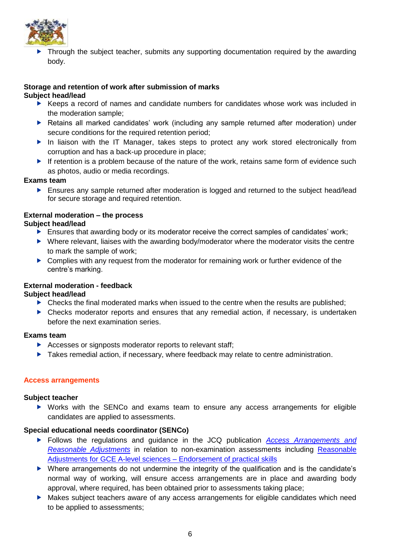

**Through the subject teacher, submits any supporting documentation required by the awarding** body.

## <span id="page-10-0"></span>**Storage and retention of work after submission of marks**

## **Subject head/lead**

- Keeps a record of names and candidate numbers for candidates whose work was included in the moderation sample;
- Retains all marked candidates' work (including any sample returned after moderation) under secure conditions for the required retention period;
- In liaison with the IT Manager, takes steps to protect any work stored electronically from corruption and has a back-up procedure in place;
- If retention is a problem because of the nature of the work, retains same form of evidence such as photos, audio or media recordings.

## **Exams team**

**Ensures any sample returned after moderation is logged and returned to the subject head/lead** for secure storage and required retention.

## <span id="page-10-1"></span>**External moderation – the process**

## **Subject head/lead**

- **Ensures that awarding body or its moderator receive the correct samples of candidates' work;**
- ▶ Where relevant, liaises with the awarding body/moderator where the moderator visits the centre to mark the sample of work;
- Complies with any request from the moderator for remaining work or further evidence of the centre's marking.

## <span id="page-10-2"></span>**External moderation - feedback**

## **Subject head/lead**

- $\triangleright$  Checks the final moderated marks when issued to the centre when the results are published:
- Checks moderator reports and ensures that any remedial action, if necessary, is undertaken before the next examination series.

## **Exams team**

- Accesses or signposts moderator reports to relevant staff;
- **Takes remedial action, if necessary, where feedback may relate to centre administration.**

## <span id="page-10-3"></span>**Access arrangements**

## **Subject teacher**

 Works with the SENCo and exams team to ensure any access arrangements for eligible candidates are applied to assessments.

## **Special educational needs coordinator (SENCo)**

- Follows the regulations and guidance in the JCQ publication *[Access Arrangements and](http://www.jcq.org.uk/exams-office/access-arrangements-and-special-consideration)  [Reasonable Adjustments](http://www.jcq.org.uk/exams-office/access-arrangements-and-special-consideration)* in relation to non-examination assessments including [Reasonable](https://www.jcq.org.uk/exams-office/access-arrangements-and-special-consideration/regulations-and-guidance)  [Adjustments for GCE A-level sciences –](https://www.jcq.org.uk/exams-office/access-arrangements-and-special-consideration/regulations-and-guidance) Endorsement of practical skills
- Where arrangements do not undermine the integrity of the qualification and is the candidate's normal way of working, will ensure access arrangements are in place and awarding body approval, where required, has been obtained prior to assessments taking place;
- Makes subject teachers aware of any access arrangements for eligible candidates which need to be applied to assessments;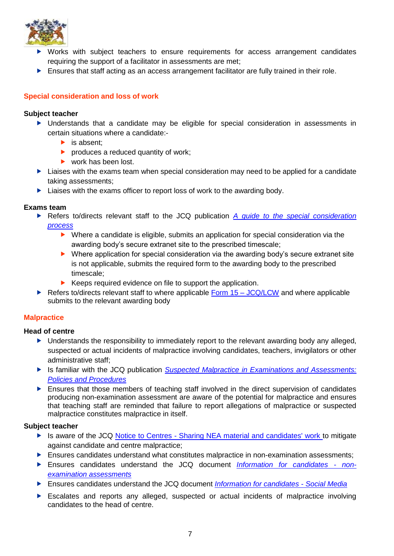

- Works with subject teachers to ensure requirements for access arrangement candidates requiring the support of a facilitator in assessments are met;
- $\blacktriangleright$  Ensures that staff acting as an access arrangement facilitator are fully trained in their role.

## <span id="page-11-0"></span>**Special consideration and loss of work**

### **Subject teacher**

- Understands that a candidate may be eligible for special consideration in assessments in certain situations where a candidate:-
	- $\blacktriangleright$  is absent:
	- $\blacktriangleright$  produces a reduced quantity of work;
	- work has been lost.
- $\blacktriangleright$  Liaises with the exams team when special consideration may need to be applied for a candidate taking assessments;
- ▶ Liaises with the exams officer to report loss of work to the awarding body.

## **Exams team**

- Refers to/directs relevant staff to the JCQ publication *[A guide to the special consideration](http://www.jcq.org.uk/exams-office/access-arrangements-and-special-consideration)  [process](http://www.jcq.org.uk/exams-office/access-arrangements-and-special-consideration)* 
	- Where a candidate is eligible, submits an application for special consideration via the awarding body's secure extranet site to the prescribed timescale;
	- ▶ Where application for special consideration via the awarding body's secure extranet site is not applicable, submits the required form to the awarding body to the prescribed timescale;
	- $\blacktriangleright$  Keeps required evidence on file to support the application.
- Refers to/directs relevant staff to where applicable Form  $15 JCQ/LCW$  and where applicable submits to the relevant awarding body

## <span id="page-11-1"></span>**Malpractice**

## **Head of centre**

- Understands the responsibility to immediately report to the relevant awarding body any alleged, suspected or actual incidents of malpractice involving candidates, teachers, invigilators or other administrative staff;
- Is familiar with the JCQ publication *[Suspected Malpractice in Examinations and Assessments:](http://www.jcq.org.uk/exams-office/malpractice)  [Policies and Procedures](http://www.jcq.org.uk/exams-office/malpractice)*
- Ensures that those members of teaching staff involved in the direct supervision of candidates producing non-examination assessment are aware of the potential for malpractice and ensures that teaching staff are reminded that failure to report allegations of malpractice or suspected malpractice constitutes malpractice in itself.

- ▶ Is aware of the JCQ Notice to Centres [Sharing NEA material and candidates' work](http://www.jcq.org.uk/exams-office/non-examination-assessments) to mitigate against candidate and centre malpractice;
- Ensures candidates understand what constitutes malpractice in non-examination assessments;
- Ensures candidates understand the JCQ document *[Information for candidates -](http://www.jcq.org.uk/exams-office/information-for-candidates-documents) non[examination assessments](http://www.jcq.org.uk/exams-office/information-for-candidates-documents)*
- Ensures candidates understand the JCQ document *[Information for candidates -](http://www.jcq.org.uk/exams-office/information-for-candidates-documents) Social Media*
- Escalates and reports any alleged, suspected or actual incidents of malpractice involving candidates to the head of centre.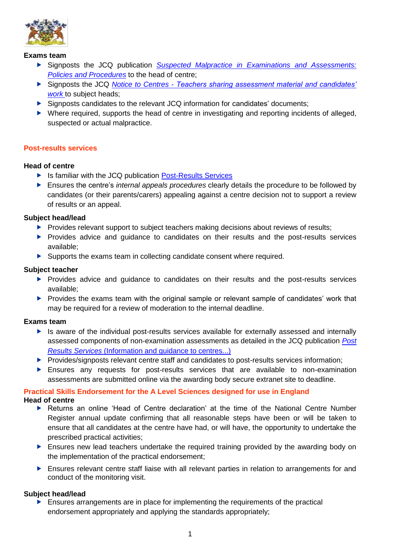

## **Exams team**

- Signposts the JCQ publication *[Suspected Malpractice in Examinations and Assessments:](http://www.jcq.org.uk/exams-office/malpractice)  [Policies and Procedures](http://www.jcq.org.uk/exams-office/malpractice)* to the head of centre;
- Signposts the JCQ *Notice to Centres - [Teachers sharing assessment material and candidates'](http://www.jcq.org.uk/exams-office/non-examination-assessments)  [work](http://www.jcq.org.uk/exams-office/non-examination-assessments)* to subject heads;
- Signposts candidates to the relevant JCQ information for candidates' documents;
- Where required, supports the head of centre in investigating and reporting incidents of alleged, suspected or actual malpractice.

## <span id="page-12-0"></span>**Post-results services**

## **Head of centre**

- ▶ Is familiar with the JCQ publication [Post-Results Services](https://www.jcq.org.uk/exams-office/post-results-services)
- Ensures the centre's *internal appeals procedures* clearly details the procedure to be followed by candidates (or their parents/carers) appealing against a centre decision not to support a review of results or an appeal.

## **Subject head/lead**

- $\blacktriangleright$  Provides relevant support to subject teachers making decisions about reviews of results;
- **Provides advice and quidance to candidates on their results and the post-results services** available;
- Supports the exams team in collecting candidate consent where required.

## **Subject teacher**

- **Provides advice and quidance to candidates on their results and the post-results services** available;
- **Provides the exams team with the original sample or relevant sample of candidates' work that** may be required for a review of moderation to the internal deadline.

## **Exams team**

- Is aware of the individual post-results services available for externally assessed and internally assessed components of non-examination assessments as detailed in the JCQ publication *[Post](http://www.jcq.org.uk/exams-office/post-results-services)  Results Services* [\(Information and guidance to centres...\)](http://www.jcq.org.uk/exams-office/post-results-services)
- Provides/signposts relevant centre staff and candidates to post-results services information;
- Ensures any requests for post-results services that are available to non-examination assessments are submitted online via the awarding body secure extranet site to deadline.

#### <span id="page-12-1"></span>**Practical Skills Endorsement for the A Level Sciences designed for use in England Head of centre**

- Returns an online 'Head of Centre declaration' at the time of the National Centre Number Register annual update confirming that all reasonable steps have been or will be taken to ensure that all candidates at the centre have had, or will have, the opportunity to undertake the prescribed practical activities;
- **Ensures new lead teachers undertake the required training provided by the awarding body on** the implementation of the practical endorsement;
- Ensures relevant centre staff liaise with all relevant parties in relation to arrangements for and conduct of the monitoring visit.

## **Subject head/lead**

 $\blacktriangleright$  Ensures arrangements are in place for implementing the requirements of the practical endorsement appropriately and applying the standards appropriately;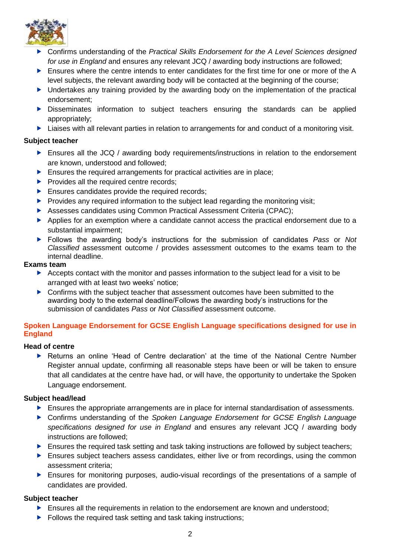

- Confirms understanding of the *Practical Skills Endorsement for the A Level Sciences designed for use in England* and ensures any relevant JCQ / awarding body instructions are followed;
- Ensures where the centre intends to enter candidates for the first time for one or more of the A level subjects, the relevant awarding body will be contacted at the beginning of the course;
- ▶ Undertakes any training provided by the awarding body on the implementation of the practical endorsement;
- **Disseminates information to subject teachers ensuring the standards can be applied** appropriately;
- ▶ Liaises with all relevant parties in relation to arrangements for and conduct of a monitoring visit.

## **Subject teacher**

- ▶ Ensures all the JCQ / awarding body requirements/instructions in relation to the endorsement are known, understood and followed;
- $\blacktriangleright$  Ensures the required arrangements for practical activities are in place:
- $\blacktriangleright$  Provides all the required centre records;
- $\blacktriangleright$  Ensures candidates provide the required records;
- $\blacktriangleright$  Provides any required information to the subject lead regarding the monitoring visit;
- Assesses candidates using Common Practical Assessment Criteria (CPAC);
- Applies for an exemption where a candidate cannot access the practical endorsement due to a substantial impairment;
- Follows the awarding body's instructions for the submission of candidates *Pass* or *Not Classified* assessment outcome / provides assessment outcomes to the exams team to the internal deadline.

## **Exams team**

- Accepts contact with the monitor and passes information to the subject lead for a visit to be arranged with at least two weeks' notice;
- **Confirms with the subject teacher that assessment outcomes have been submitted to the** awarding body to the external deadline/Follows the awarding body's instructions for the submission of candidates *Pass* or *Not Classified* assessment outcome.

## <span id="page-13-0"></span>**Spoken Language Endorsement for GCSE English Language specifications designed for use in England**

## **Head of centre**

 Returns an online 'Head of Centre declaration' at the time of the National Centre Number Register annual update, confirming all reasonable steps have been or will be taken to ensure that all candidates at the centre have had, or will have, the opportunity to undertake the Spoken Language endorsement.

## **Subject head/lead**

- **Ensures the appropriate arrangements are in place for internal standardisation of assessments.**
- Confirms understanding of the *Spoken Language Endorsement for GCSE English Language specifications designed for use in England* and ensures any relevant JCQ / awarding body instructions are followed;
- **Ensures the required task setting and task taking instructions are followed by subject teachers;**
- Ensures subject teachers assess candidates, either live or from recordings, using the common assessment criteria;
- Ensures for monitoring purposes, audio-visual recordings of the presentations of a sample of candidates are provided.

- **Ensures all the requirements in relation to the endorsement are known and understood;**
- $\blacktriangleright$  Follows the required task setting and task taking instructions;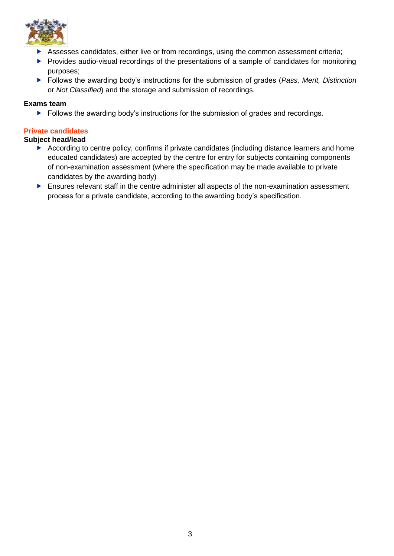

- Assesses candidates, either live or from recordings, using the common assessment criteria;
- Provides audio-visual recordings of the presentations of a sample of candidates for monitoring purposes;
- Follows the awarding body's instructions for the submission of grades (*Pass, Merit, Distinction* or *Not Classified*) and the storage and submission of recordings.

## **Exams team**

Follows the awarding body's instructions for the submission of grades and recordings.

## <span id="page-14-0"></span>**Private candidates**

## **Subject head/lead**

- According to centre policy, confirms if private candidates (including distance learners and home educated candidates) are accepted by the centre for entry for subjects containing components of non-examination assessment (where the specification may be made available to private candidates by the awarding body)
- Ensures relevant staff in the centre administer all aspects of the non-examination assessment process for a private candidate, according to the awarding body's specification.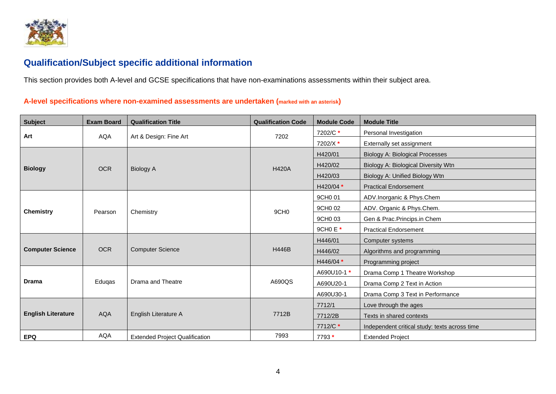

## **Qualification/Subject specific additional information**

This section provides both A-level and GCSE specifications that have non-examinations assessments within their subject area.

## **A-level specifications where non-examined assessments are undertaken (marked with an asterisk)**

<span id="page-15-1"></span><span id="page-15-0"></span>

| <b>Subject</b>            | <b>Exam Board</b> | <b>Qualification Title</b>            | <b>Qualification Code</b> | <b>Module Code</b> | <b>Module Title</b>                           |
|---------------------------|-------------------|---------------------------------------|---------------------------|--------------------|-----------------------------------------------|
| Art                       | <b>AQA</b>        | Art & Design: Fine Art                | 7202                      | 7202/C*            | Personal Investigation                        |
|                           |                   |                                       |                           | 7202/X*            | Externally set assignment                     |
|                           |                   |                                       |                           | H420/01            | Biology A: Biological Processes               |
| <b>Biology</b>            | <b>OCR</b>        |                                       | <b>H420A</b>              | H420/02            | Biology A: Biological Diversity Wtn           |
|                           |                   | <b>Biology A</b>                      |                           | H420/03            | Biology A: Unified Biology Wtn                |
|                           |                   |                                       |                           | H420/04 *          | <b>Practical Endorsement</b>                  |
|                           |                   |                                       |                           | 9CH0 01            | ADV.Inorganic & Phys.Chem                     |
| <b>Chemistry</b>          | Pearson           | Chemistry                             | 9CH <sub>0</sub>          | 9CH0 02            | ADV. Organic & Phys.Chem.                     |
|                           |                   |                                       |                           | 9CH0 03            | Gen & Prac.Princips.in Chem                   |
|                           |                   |                                       |                           | 9CH0 E *           | <b>Practical Endorsement</b>                  |
|                           |                   |                                       |                           | H446/01            | Computer systems                              |
| <b>Computer Science</b>   | <b>OCR</b>        | <b>Computer Science</b>               | <b>H446B</b>              | H446/02            | Algorithms and programming                    |
|                           |                   |                                       |                           | H446/04 *          | Programming project                           |
|                           |                   |                                       |                           | A690U10-1 *        | Drama Comp 1 Theatre Workshop                 |
| <b>Drama</b>              | Eduqas            | Drama and Theatre                     | A690QS                    | A690U20-1          | Drama Comp 2 Text in Action                   |
|                           |                   |                                       |                           | A690U30-1          | Drama Comp 3 Text in Performance              |
|                           |                   | English Literature A                  |                           | 7712/1             | Love through the ages                         |
| <b>English Literature</b> | <b>AQA</b>        |                                       | 7712B                     | 7712/2B            | Texts in shared contexts                      |
|                           |                   |                                       |                           | 7712/C *           | Independent critical study: texts across time |
| <b>EPQ</b>                | <b>AQA</b>        | <b>Extended Project Qualification</b> | 7993                      | 7793 *             | <b>Extended Project</b>                       |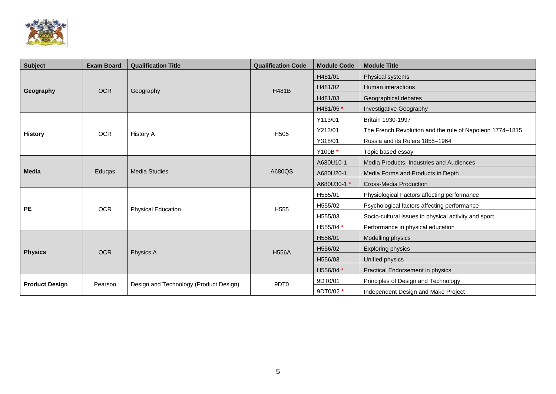

| <b>Subject</b>        | <b>Exam Board</b> | <b>Qualification Title</b>             | <b>Qualification Code</b> | <b>Module Code</b> | <b>Module Title</b>                                      |
|-----------------------|-------------------|----------------------------------------|---------------------------|--------------------|----------------------------------------------------------|
|                       |                   | Geography                              |                           | H481/01            | Physical systems                                         |
| Geography             | <b>OCR</b>        |                                        |                           | H481/02            | Human interactions                                       |
|                       |                   |                                        | H481B                     | H481/03            | Geographical debates                                     |
|                       |                   |                                        |                           | H481/05 *          | <b>Investigative Geography</b>                           |
|                       |                   |                                        |                           | Y113/01            | Britain 1930-1997                                        |
| <b>History</b>        | <b>OCR</b>        | <b>History A</b>                       | H <sub>505</sub>          | Y213/01            | The French Revolution and the rule of Napoleon 1774-1815 |
|                       |                   |                                        |                           | Y318/01            | Russia and its Rulers 1855-1964                          |
|                       |                   |                                        | Y100B *                   |                    | Topic based essay                                        |
|                       |                   |                                        |                           | A680U10-1          | Media Products, Industries and Audiences                 |
| <b>Media</b>          | Eduqas            | <b>Media Studies</b>                   | A680QS                    | A680U20-1          | Media Forms and Products in Depth                        |
|                       |                   |                                        |                           | A680U30-1 *        | Cross-Media Production                                   |
|                       |                   |                                        |                           | H555/01            | Physiological Factors affecting performance              |
| <b>PE</b>             | <b>OCR</b>        | <b>Physical Education</b>              | H <sub>555</sub>          | H555/02            | Psychological factors affecting performance              |
|                       |                   |                                        |                           | H555/03            | Socio-cultural issues in physical activity and sport     |
|                       |                   |                                        |                           | H555/04 *          | Performance in physical education                        |
|                       |                   |                                        |                           | H556/01            | Modelling physics                                        |
| <b>Physics</b>        | <b>OCR</b>        | Physics A                              | <b>H556A</b>              | H556/02            | <b>Exploring physics</b>                                 |
|                       |                   |                                        |                           | H556/03            | Unified physics                                          |
|                       |                   |                                        |                           | H556/04 *          | <b>Practical Endorsement in physics</b>                  |
| <b>Product Design</b> | Pearson           | Design and Technology (Product Design) | 9DT0                      | 9DT0/01            | Principles of Design and Technology                      |
|                       |                   |                                        |                           | 9DT0/02 *          | Independent Design and Make Project                      |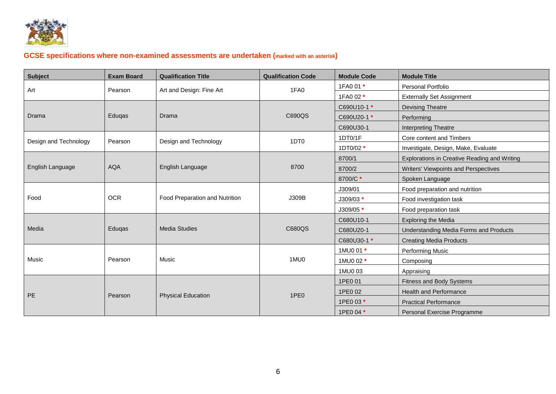

## **GCSE specifications where non-examined assessments are undertaken (marked with an asterisk)**

<span id="page-17-0"></span>

| <b>Subject</b>        | <b>Exam Board</b> | <b>Qualification Title</b>     | <b>Qualification Code</b> | <b>Module Code</b> | <b>Module Title</b>                          |
|-----------------------|-------------------|--------------------------------|---------------------------|--------------------|----------------------------------------------|
| Art                   | Pearson           | Art and Design: Fine Art       | 1FA0                      | 1FA0 01 *          | Personal Portfolio                           |
|                       |                   |                                |                           | 1FA0 02 *          | <b>Externally Set Assignment</b>             |
|                       |                   |                                |                           | C690U10-1 *        | <b>Devising Theatre</b>                      |
| Drama                 | Eduqas            | Drama                          | C690QS                    | C690U20-1*         | Performing                                   |
|                       |                   |                                |                           | C690U30-1          | Interpreting Theatre                         |
| Design and Technology | Pearson           | Design and Technology          | 1DT <sub>0</sub>          | 1DT0/1F            | Core content and Timbers                     |
|                       |                   |                                |                           | 1DT0/02 *          | Investigate, Design, Make, Evaluate          |
|                       |                   |                                |                           | 8700/1             | Explorations in Creative Reading and Writing |
| English Language      | <b>AQA</b>        | English Language               | 8700                      | 8700/2             | Writers' Viewpoints and Perspectives         |
|                       |                   |                                |                           | 8700/C*            | Spoken Language                              |
|                       |                   |                                |                           | J309/01            | Food preparation and nutrition               |
| Food                  | <b>OCR</b>        | Food Preparation and Nutrition | J309B                     | J309/03 *          | Food investigation task                      |
|                       |                   |                                |                           | J309/05 *          | Food preparation task                        |
|                       |                   |                                |                           | C680U10-1          | <b>Exploring the Media</b>                   |
| Media                 | Eduqas            | <b>Media Studies</b>           | C680QS                    | C680U20-1          | Understanding Media Forms and Products       |
|                       |                   |                                |                           | C680U30-1 *        | <b>Creating Media Products</b>               |
|                       |                   |                                |                           | 1MU0 01 *          | Performing Music                             |
| Music                 | Pearson           | Music                          | 1MU0                      | 1MU0 02 *          | Composing                                    |
|                       |                   |                                |                           | 1MU0 03            | Appraising                                   |
|                       |                   |                                |                           | 1PE0 01            | Fitness and Body Systems                     |
| PE                    | Pearson           | <b>Physical Education</b>      | 1PE <sub>0</sub>          | 1PE0 02            | <b>Health and Performance</b>                |
|                       |                   |                                |                           | 1PE0 03 *          | <b>Practical Performance</b>                 |
|                       |                   |                                |                           | 1PE0 04 *          | Personal Exercise Programme                  |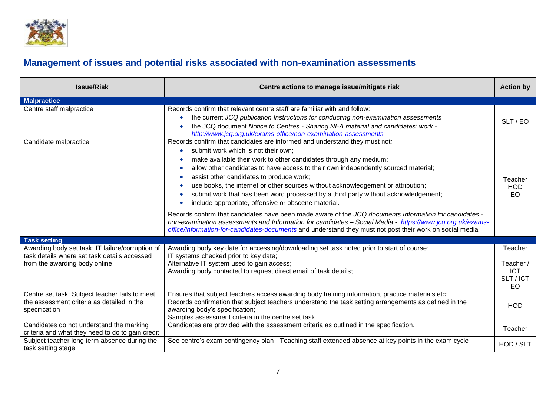

# **Management of issues and potential risks associated with non-examination assessments**

<span id="page-18-0"></span>

| <b>Issue/Risk</b>                                                                                                                 | Centre actions to manage issue/mitigate risk                                                                                                                                                                                                                                                                                                                                                                                                                                                                                                                                                                                                                                                                                                                                                                                                                                                                                                                    | <b>Action by</b>                                      |
|-----------------------------------------------------------------------------------------------------------------------------------|-----------------------------------------------------------------------------------------------------------------------------------------------------------------------------------------------------------------------------------------------------------------------------------------------------------------------------------------------------------------------------------------------------------------------------------------------------------------------------------------------------------------------------------------------------------------------------------------------------------------------------------------------------------------------------------------------------------------------------------------------------------------------------------------------------------------------------------------------------------------------------------------------------------------------------------------------------------------|-------------------------------------------------------|
| <b>Malpractice</b>                                                                                                                |                                                                                                                                                                                                                                                                                                                                                                                                                                                                                                                                                                                                                                                                                                                                                                                                                                                                                                                                                                 |                                                       |
| Centre staff malpractice                                                                                                          | Records confirm that relevant centre staff are familiar with and follow:<br>the current JCQ publication Instructions for conducting non-examination assessments<br>$\bullet$<br>the JCQ document Notice to Centres - Sharing NEA material and candidates' work -<br>۰<br>http://www.jcg.org.uk/exams-office/non-examination-assessments                                                                                                                                                                                                                                                                                                                                                                                                                                                                                                                                                                                                                         | SLT/EO                                                |
| Candidate malpractice                                                                                                             | Records confirm that candidates are informed and understand they must not:<br>submit work which is not their own;<br>$\bullet$<br>make available their work to other candidates through any medium;<br>۰<br>allow other candidates to have access to their own independently sourced material;<br>$\bullet$<br>assist other candidates to produce work;<br>$\bullet$<br>use books, the internet or other sources without acknowledgement or attribution;<br>۰<br>submit work that has been word processed by a third party without acknowledgement;<br>$\bullet$<br>include appropriate, offensive or obscene material.<br>٠<br>Records confirm that candidates have been made aware of the JCQ documents Information for candidates -<br>non-examination assessments and Information for candidates - Social Media - https://www.jcq.org.uk/exams-<br>office/information-for-candidates-documents and understand they must not post their work on social media | Teacher<br><b>HOD</b><br><b>EO</b>                    |
| <b>Task setting</b>                                                                                                               |                                                                                                                                                                                                                                                                                                                                                                                                                                                                                                                                                                                                                                                                                                                                                                                                                                                                                                                                                                 |                                                       |
| Awarding body set task: IT failure/corruption of<br>task details where set task details accessed<br>from the awarding body online | Awarding body key date for accessing/downloading set task noted prior to start of course;<br>IT systems checked prior to key date;<br>Alternative IT system used to gain access;<br>Awarding body contacted to request direct email of task details;                                                                                                                                                                                                                                                                                                                                                                                                                                                                                                                                                                                                                                                                                                            | Teacher<br>Teacher /<br><b>ICT</b><br>SLT / ICT<br>EO |
| Centre set task: Subject teacher fails to meet<br>the assessment criteria as detailed in the<br>specification                     | Ensures that subject teachers access awarding body training information, practice materials etc;<br>Records confirmation that subject teachers understand the task setting arrangements as defined in the<br>awarding body's specification;<br>Samples assessment criteria in the centre set task.                                                                                                                                                                                                                                                                                                                                                                                                                                                                                                                                                                                                                                                              | <b>HOD</b>                                            |
| Candidates do not understand the marking<br>criteria and what they need to do to gain credit                                      | Candidates are provided with the assessment criteria as outlined in the specification.                                                                                                                                                                                                                                                                                                                                                                                                                                                                                                                                                                                                                                                                                                                                                                                                                                                                          | Teacher                                               |
| Subject teacher long term absence during the<br>task setting stage                                                                | See centre's exam contingency plan - Teaching staff extended absence at key points in the exam cycle                                                                                                                                                                                                                                                                                                                                                                                                                                                                                                                                                                                                                                                                                                                                                                                                                                                            | HOD / SLT                                             |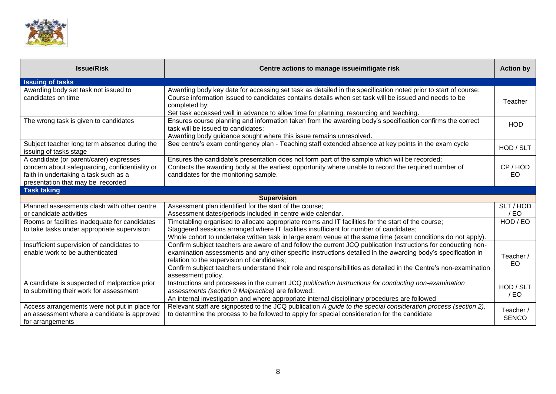

| <b>Issue/Risk</b>                                                                                                                                                       | Centre actions to manage issue/mitigate risk                                                                                                                                                                                                                                                                                                                                                                         | <b>Action by</b>          |
|-------------------------------------------------------------------------------------------------------------------------------------------------------------------------|----------------------------------------------------------------------------------------------------------------------------------------------------------------------------------------------------------------------------------------------------------------------------------------------------------------------------------------------------------------------------------------------------------------------|---------------------------|
| <b>Issuing of tasks</b>                                                                                                                                                 |                                                                                                                                                                                                                                                                                                                                                                                                                      |                           |
| Awarding body set task not issued to<br>candidates on time                                                                                                              | Awarding body key date for accessing set task as detailed in the specification noted prior to start of course;<br>Course information issued to candidates contains details when set task will be issued and needs to be<br>completed by;<br>Set task accessed well in advance to allow time for planning, resourcing and teaching.                                                                                   | Teacher                   |
| The wrong task is given to candidates                                                                                                                                   | Ensures course planning and information taken from the awarding body's specification confirms the correct<br>task will be issued to candidates;<br>Awarding body guidance sought where this issue remains unresolved.                                                                                                                                                                                                | <b>HOD</b>                |
| Subject teacher long term absence during the<br>issuing of tasks stage                                                                                                  | See centre's exam contingency plan - Teaching staff extended absence at key points in the exam cycle                                                                                                                                                                                                                                                                                                                 | HOD / SLT                 |
| A candidate (or parent/carer) expresses<br>concern about safeguarding, confidentiality or<br>faith in undertaking a task such as a<br>presentation that may be recorded | Ensures the candidate's presentation does not form part of the sample which will be recorded;<br>Contacts the awarding body at the earliest opportunity where unable to record the required number of<br>candidates for the monitoring sample.                                                                                                                                                                       | CP/HOD<br>EO              |
| <b>Task taking</b>                                                                                                                                                      |                                                                                                                                                                                                                                                                                                                                                                                                                      |                           |
|                                                                                                                                                                         | <b>Supervision</b>                                                                                                                                                                                                                                                                                                                                                                                                   |                           |
| Planned assessments clash with other centre<br>or candidate activities                                                                                                  | Assessment plan identified for the start of the course;<br>Assessment dates/periods included in centre wide calendar.                                                                                                                                                                                                                                                                                                | SLT / HOD<br>/EO          |
| Rooms or facilities inadequate for candidates<br>to take tasks under appropriate supervision                                                                            | Timetabling organised to allocate appropriate rooms and IT facilities for the start of the course;<br>Staggered sessions arranged where IT facilities insufficient for number of candidates;<br>Whole cohort to undertake written task in large exam venue at the same time (exam conditions do not apply).                                                                                                          | HOD / EO                  |
| Insufficient supervision of candidates to<br>enable work to be authenticated                                                                                            | Confirm subject teachers are aware of and follow the current JCQ publication Instructions for conducting non-<br>examination assessments and any other specific instructions detailed in the awarding body's specification in<br>relation to the supervision of candidates;<br>Confirm subject teachers understand their role and responsibilities as detailed in the Centre's non-examination<br>assessment policy. | Teacher /<br>EO           |
| A candidate is suspected of malpractice prior<br>to submitting their work for assessment                                                                                | Instructions and processes in the current JCQ publication Instructions for conducting non-examination<br>assessments (section 9 Malpractice) are followed;<br>An internal investigation and where appropriate internal disciplinary procedures are followed                                                                                                                                                          | HOD / SLT<br>$/$ EO       |
| Access arrangements were not put in place for<br>an assessment where a candidate is approved<br>for arrangements                                                        | Relevant staff are signposted to the JCQ publication A guide to the special consideration process (section 2),<br>to determine the process to be followed to apply for special consideration for the candidate                                                                                                                                                                                                       | Teacher /<br><b>SENCO</b> |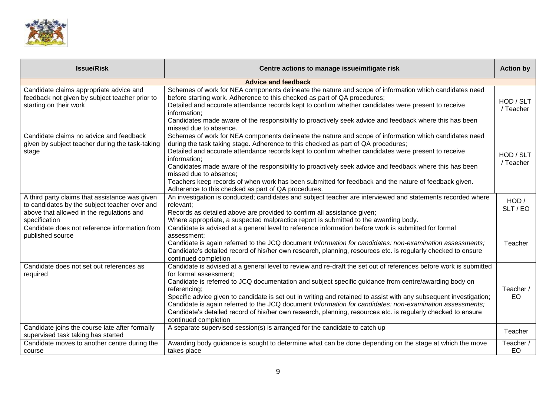

| <b>Issue/Risk</b>                                                                                                                                             | Centre actions to manage issue/mitigate risk                                                                                                                                                                                                                                                                                                                                                                                                                                                                                                                                                                                                   | <b>Action by</b>       |
|---------------------------------------------------------------------------------------------------------------------------------------------------------------|------------------------------------------------------------------------------------------------------------------------------------------------------------------------------------------------------------------------------------------------------------------------------------------------------------------------------------------------------------------------------------------------------------------------------------------------------------------------------------------------------------------------------------------------------------------------------------------------------------------------------------------------|------------------------|
|                                                                                                                                                               | <b>Advice and feedback</b>                                                                                                                                                                                                                                                                                                                                                                                                                                                                                                                                                                                                                     |                        |
| Candidate claims appropriate advice and<br>feedback not given by subject teacher prior to<br>starting on their work                                           | Schemes of work for NEA components delineate the nature and scope of information which candidates need<br>before starting work. Adherence to this checked as part of QA procedures;<br>Detailed and accurate attendance records kept to confirm whether candidates were present to receive<br>information;<br>Candidates made aware of the responsibility to proactively seek advice and feedback where this has been<br>missed due to absence.                                                                                                                                                                                                | HOD / SLT<br>/ Teacher |
| Candidate claims no advice and feedback<br>given by subject teacher during the task-taking<br>stage                                                           | Schemes of work for NEA components delineate the nature and scope of information which candidates need<br>during the task taking stage. Adherence to this checked as part of QA procedures;<br>Detailed and accurate attendance records kept to confirm whether candidates were present to receive<br>information;<br>Candidates made aware of the responsibility to proactively seek advice and feedback where this has been<br>missed due to absence;<br>Teachers keep records of when work has been submitted for feedback and the nature of feedback given.<br>Adherence to this checked as part of QA procedures.                         | HOD / SLT<br>/ Teacher |
| A third party claims that assistance was given<br>to candidates by the subject teacher over and<br>above that allowed in the regulations and<br>specification | An investigation is conducted; candidates and subject teacher are interviewed and statements recorded where<br>relevant;<br>Records as detailed above are provided to confirm all assistance given;<br>Where appropriate, a suspected malpractice report is submitted to the awarding body.                                                                                                                                                                                                                                                                                                                                                    | HOD /<br>SLT/EO        |
| Candidate does not reference information from<br>published source                                                                                             | Candidate is advised at a general level to reference information before work is submitted for formal<br>assessment:<br>Candidate is again referred to the JCQ document Information for candidates: non-examination assessments;<br>Candidate's detailed record of his/her own research, planning, resources etc. is regularly checked to ensure<br>continued completion                                                                                                                                                                                                                                                                        | Teacher                |
| Candidate does not set out references as<br>required                                                                                                          | Candidate is advised at a general level to review and re-draft the set out of references before work is submitted<br>for formal assessment;<br>Candidate is referred to JCQ documentation and subject specific guidance from centre/awarding body on<br>referencing;<br>Specific advice given to candidate is set out in writing and retained to assist with any subsequent investigation;<br>Candidate is again referred to the JCQ document Information for candidates: non-examination assessments;<br>Candidate's detailed record of his/her own research, planning, resources etc. is regularly checked to ensure<br>continued completion | Teacher /<br>EO        |
| Candidate joins the course late after formally<br>supervised task taking has started                                                                          | A separate supervised session(s) is arranged for the candidate to catch up                                                                                                                                                                                                                                                                                                                                                                                                                                                                                                                                                                     | Teacher                |
| Candidate moves to another centre during the<br>course                                                                                                        | Awarding body guidance is sought to determine what can be done depending on the stage at which the move<br>takes place                                                                                                                                                                                                                                                                                                                                                                                                                                                                                                                         | Teacher /<br>EO        |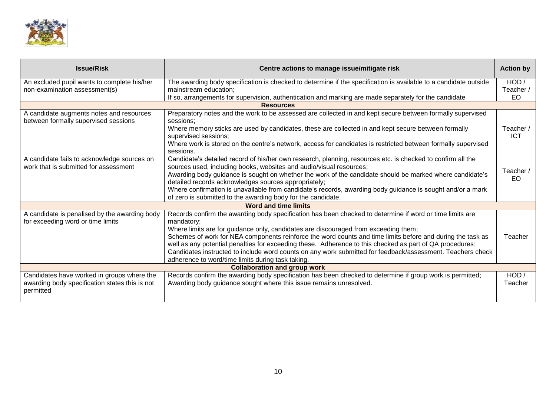

| <b>Issue/Risk</b>                                                                    | Centre actions to manage issue/mitigate risk                                                                                                                                                                           | <b>Action by</b>        |
|--------------------------------------------------------------------------------------|------------------------------------------------------------------------------------------------------------------------------------------------------------------------------------------------------------------------|-------------------------|
| An excluded pupil wants to complete his/her                                          | The awarding body specification is checked to determine if the specification is available to a candidate outside                                                                                                       | HOD /                   |
| non-examination assessment(s)                                                        | mainstream education;                                                                                                                                                                                                  | Teacher /               |
|                                                                                      | If so, arrangements for supervision, authentication and marking are made separately for the candidate<br><b>Resources</b>                                                                                              | EO                      |
|                                                                                      |                                                                                                                                                                                                                        |                         |
| A candidate augments notes and resources<br>between formally supervised sessions     | Preparatory notes and the work to be assessed are collected in and kept secure between formally supervised<br>sessions:                                                                                                |                         |
|                                                                                      | Where memory sticks are used by candidates, these are collected in and kept secure between formally<br>supervised sessions;                                                                                            | Teacher /<br><b>ICT</b> |
|                                                                                      | Where work is stored on the centre's network, access for candidates is restricted between formally supervised                                                                                                          |                         |
|                                                                                      | sessions.                                                                                                                                                                                                              |                         |
| A candidate fails to acknowledge sources on<br>work that is submitted for assessment | Candidate's detailed record of his/her own research, planning, resources etc. is checked to confirm all the<br>sources used, including books, websites and audio/visual resources;                                     |                         |
|                                                                                      | Awarding body guidance is sought on whether the work of the candidate should be marked where candidate's                                                                                                               | Teacher /               |
|                                                                                      | detailed records acknowledges sources appropriately;                                                                                                                                                                   | EO.                     |
|                                                                                      | Where confirmation is unavailable from candidate's records, awarding body guidance is sought and/or a mark                                                                                                             |                         |
|                                                                                      | of zero is submitted to the awarding body for the candidate.                                                                                                                                                           |                         |
|                                                                                      | <b>Word and time limits</b>                                                                                                                                                                                            |                         |
| A candidate is penalised by the awarding body                                        | Records confirm the awarding body specification has been checked to determine if word or time limits are                                                                                                               |                         |
| for exceeding word or time limits                                                    | mandatory:                                                                                                                                                                                                             |                         |
|                                                                                      | Where limits are for guidance only, candidates are discouraged from exceeding them;                                                                                                                                    |                         |
|                                                                                      | Schemes of work for NEA components reinforce the word counts and time limits before and during the task as                                                                                                             | Teacher                 |
|                                                                                      | well as any potential penalties for exceeding these. Adherence to this checked as part of QA procedures;<br>Candidates instructed to include word counts on any work submitted for feedback/assessment. Teachers check |                         |
|                                                                                      | adherence to word/time limits during task taking.                                                                                                                                                                      |                         |
|                                                                                      | <b>Collaboration and group work</b>                                                                                                                                                                                    |                         |
| Candidates have worked in groups where the                                           | Records confirm the awarding body specification has been checked to determine if group work is permitted;                                                                                                              | HOD /                   |
| awarding body specification states this is not                                       | Awarding body guidance sought where this issue remains unresolved.                                                                                                                                                     | Teacher                 |
| permitted                                                                            |                                                                                                                                                                                                                        |                         |
|                                                                                      |                                                                                                                                                                                                                        |                         |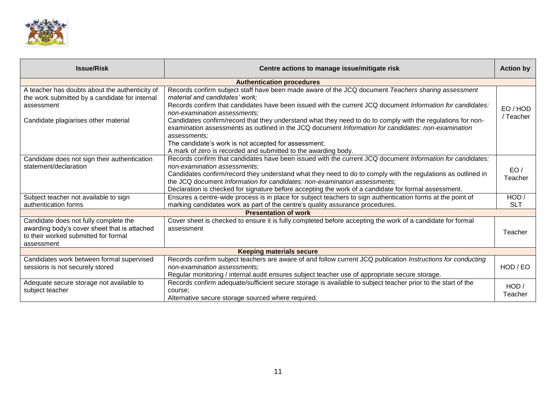

| <b>Issue/Risk</b>                                                                                                                           | Centre actions to manage issue/mitigate risk                                                                                                                                                                                                                                                                                                                                                                                                    | <b>Action by</b>    |  |  |
|---------------------------------------------------------------------------------------------------------------------------------------------|-------------------------------------------------------------------------------------------------------------------------------------------------------------------------------------------------------------------------------------------------------------------------------------------------------------------------------------------------------------------------------------------------------------------------------------------------|---------------------|--|--|
| <b>Authentication procedures</b>                                                                                                            |                                                                                                                                                                                                                                                                                                                                                                                                                                                 |                     |  |  |
| A teacher has doubts about the authenticity of<br>the work submitted by a candidate for internal<br>assessment                              | Records confirm subject staff have been made aware of the JCQ document Teachers sharing assessment<br>material and candidates' work;<br>Records confirm that candidates have been issued with the current JCQ document Information for candidates:<br>non-examination assessments;                                                                                                                                                              | EO/HOD<br>/ Teacher |  |  |
| Candidate plagiarises other material                                                                                                        | Candidates confirm/record that they understand what they need to do to comply with the regulations for non-<br>examination assessments as outlined in the JCQ document Information for candidates: non-examination<br>assessments;<br>The candidate's work is not accepted for assessment;<br>A mark of zero is recorded and submitted to the awarding body.                                                                                    |                     |  |  |
| Candidate does not sign their authentication<br>statement/declaration                                                                       | Records confirm that candidates have been issued with the current JCQ document Information for candidates:<br>non-examination assessments;<br>Candidates confirm/record they understand what they need to do to comply with the regulations as outlined in<br>the JCQ document Information for candidates: non-examination assessments;<br>Declaration is checked for signature before accepting the work of a candidate for formal assessment. | EO/<br>Teacher      |  |  |
| Subject teacher not available to sign<br>authentication forms                                                                               | Ensures a centre-wide process is in place for subject teachers to sign authentication forms at the point of<br>marking candidates work as part of the centre's quality assurance procedures.                                                                                                                                                                                                                                                    | HOD/<br><b>SLT</b>  |  |  |
|                                                                                                                                             | <b>Presentation of work</b>                                                                                                                                                                                                                                                                                                                                                                                                                     |                     |  |  |
| Candidate does not fully complete the<br>awarding body's cover sheet that is attached<br>to their worked submitted for formal<br>assessment | Cover sheet is checked to ensure it is fully completed before accepting the work of a candidate for formal<br>assessment                                                                                                                                                                                                                                                                                                                        | Teacher             |  |  |
|                                                                                                                                             | <b>Keeping materials secure</b>                                                                                                                                                                                                                                                                                                                                                                                                                 |                     |  |  |
| Candidates work between formal supervised<br>sessions is not securely stored                                                                | Records confirm subject teachers are aware of and follow current JCQ publication Instructions for conducting<br>non-examination assessments:<br>Regular monitoring / internal audit ensures subject teacher use of appropriate secure storage.                                                                                                                                                                                                  | HOD / EO            |  |  |
| Adequate secure storage not available to<br>subject teacher                                                                                 | Records confirm adequate/sufficient secure storage is available to subject teacher prior to the start of the<br>course:<br>Alternative secure storage sourced where required.                                                                                                                                                                                                                                                                   | HOD /<br>Teacher    |  |  |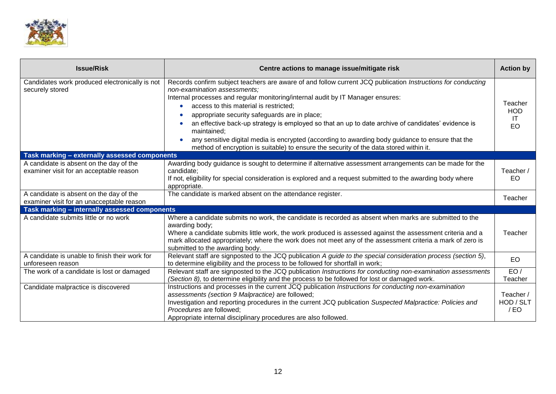

| <b>Issue/Risk</b>                                                                    | Centre actions to manage issue/mitigate risk                                                                                                                                                                                                                                                                                                                                                                                                                                                                                                                                                                                                  | <b>Action by</b>                         |
|--------------------------------------------------------------------------------------|-----------------------------------------------------------------------------------------------------------------------------------------------------------------------------------------------------------------------------------------------------------------------------------------------------------------------------------------------------------------------------------------------------------------------------------------------------------------------------------------------------------------------------------------------------------------------------------------------------------------------------------------------|------------------------------------------|
| Candidates work produced electronically is not<br>securely stored                    | Records confirm subject teachers are aware of and follow current JCQ publication Instructions for conducting<br>non-examination assessments;<br>Internal processes and regular monitoring/internal audit by IT Manager ensures:<br>access to this material is restricted;<br>appropriate security safeguards are in place;<br>an effective back-up strategy is employed so that an up to date archive of candidates' evidence is<br>maintained;<br>any sensitive digital media is encrypted (according to awarding body guidance to ensure that the<br>method of encryption is suitable) to ensure the security of the data stored within it. | Teacher<br><b>HOD</b><br><b>IT</b><br>EO |
| Task marking - externally assessed components                                        |                                                                                                                                                                                                                                                                                                                                                                                                                                                                                                                                                                                                                                               |                                          |
| A candidate is absent on the day of the<br>examiner visit for an acceptable reason   | Awarding body guidance is sought to determine if alternative assessment arrangements can be made for the<br>candidate;<br>If not, eligibility for special consideration is explored and a request submitted to the awarding body where<br>appropriate.                                                                                                                                                                                                                                                                                                                                                                                        | Teacher /<br>EO.                         |
| A candidate is absent on the day of the<br>examiner visit for an unacceptable reason | The candidate is marked absent on the attendance register.                                                                                                                                                                                                                                                                                                                                                                                                                                                                                                                                                                                    | Teacher                                  |
| Task marking - internally assessed components                                        |                                                                                                                                                                                                                                                                                                                                                                                                                                                                                                                                                                                                                                               |                                          |
| A candidate submits little or no work                                                | Where a candidate submits no work, the candidate is recorded as absent when marks are submitted to the<br>awarding body;<br>Where a candidate submits little work, the work produced is assessed against the assessment criteria and a<br>mark allocated appropriately; where the work does not meet any of the assessment criteria a mark of zero is<br>submitted to the awarding body.                                                                                                                                                                                                                                                      | Teacher                                  |
| A candidate is unable to finish their work for<br>unforeseen reason                  | Relevant staff are signposted to the JCQ publication A guide to the special consideration process (section 5),<br>to determine eligibility and the process to be followed for shortfall in work;                                                                                                                                                                                                                                                                                                                                                                                                                                              | <b>EO</b>                                |
| The work of a candidate is lost or damaged                                           | Relevant staff are signposted to the JCQ publication Instructions for conducting non-examination assessments<br>(Section 8), to determine eligibility and the process to be followed for lost or damaged work.                                                                                                                                                                                                                                                                                                                                                                                                                                | EO/<br>Teacher                           |
| Candidate malpractice is discovered                                                  | Instructions and processes in the current JCQ publication Instructions for conducting non-examination<br>assessments (section 9 Malpractice) are followed;<br>Investigation and reporting procedures in the current JCQ publication Suspected Malpractice: Policies and<br>Procedures are followed:<br>Appropriate internal disciplinary procedures are also followed.                                                                                                                                                                                                                                                                        | Teacher /<br>HOD / SLT<br>$/$ EO         |